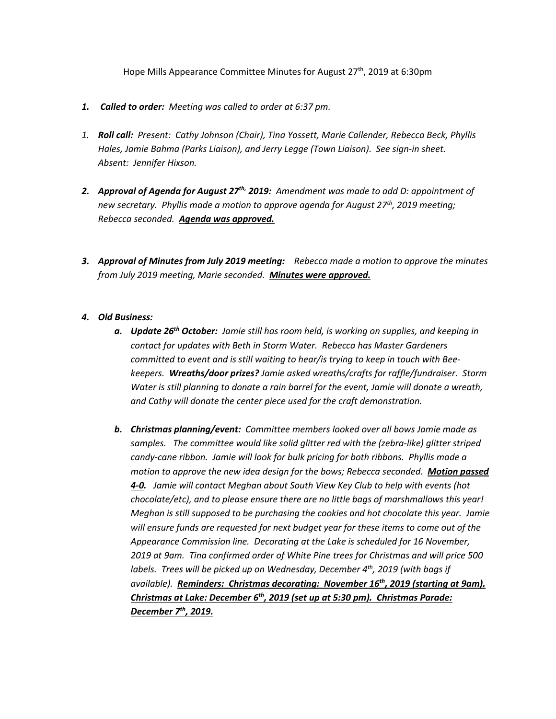Hope Mills Appearance Committee Minutes for August  $27<sup>th</sup>$ , 2019 at 6:30pm

- *1. Called to order: Meeting was called to order at 6:37 pm.*
- *1. Roll call: Present: Cathy Johnson (Chair), Tina Yossett, Marie Callender, Rebecca Beck, Phyllis Hales, Jamie Bahma (Parks Liaison), and Jerry Legge (Town Liaison). See sign-in sheet. Absent: Jennifer Hixson.*
- *2. Approval of Agenda for August 27th, 2019: Amendment was made to add D: appointment of new secretary. Phyllis made a motion to approve agenda for August 27th, 2019 meeting; Rebecca seconded. Agenda was approved.*
- *3. Approval of Minutes from July 2019 meeting: Rebecca made a motion to approve the minutes from July 2019 meeting, Marie seconded. Minutes were approved.*

## *4. Old Business:*

- *a. Update 26th October: Jamie still has room held, is working on supplies, and keeping in contact for updates with Beth in Storm Water. Rebecca has Master Gardeners committed to event and is still waiting to hear/is trying to keep in touch with Beekeepers. Wreaths/door prizes? Jamie asked wreaths/crafts for raffle/fundraiser. Storm Water is still planning to donate a rain barrel for the event, Jamie will donate a wreath, and Cathy will donate the center piece used for the craft demonstration.*
- *b. Christmas planning/event: Committee members looked over all bows Jamie made as samples. The committee would like solid glitter red with the (zebra-like) glitter striped candy-cane ribbon. Jamie will look for bulk pricing for both ribbons. Phyllis made a motion to approve the new idea design for the bows; Rebecca seconded. Motion passed 4-0. Jamie will contact Meghan about South View Key Club to help with events (hot chocolate/etc), and to please ensure there are no little bags of marshmallows this year! Meghan is still supposed to be purchasing the cookies and hot chocolate this year. Jamie will ensure funds are requested for next budget year for these items to come out of the Appearance Commission line. Decorating at the Lake is scheduled for 16 November, 2019 at 9am. Tina confirmed order of White Pine trees for Christmas and will price 500 labels. Trees will be picked up on Wednesday, December 4th, 2019 (with bags if available). Reminders: Christmas decorating: November 16th, 2019 (starting at 9am). Christmas at Lake: December 6th, 2019 (set up at 5:30 pm). Christmas Parade: December 7th, 2019.*